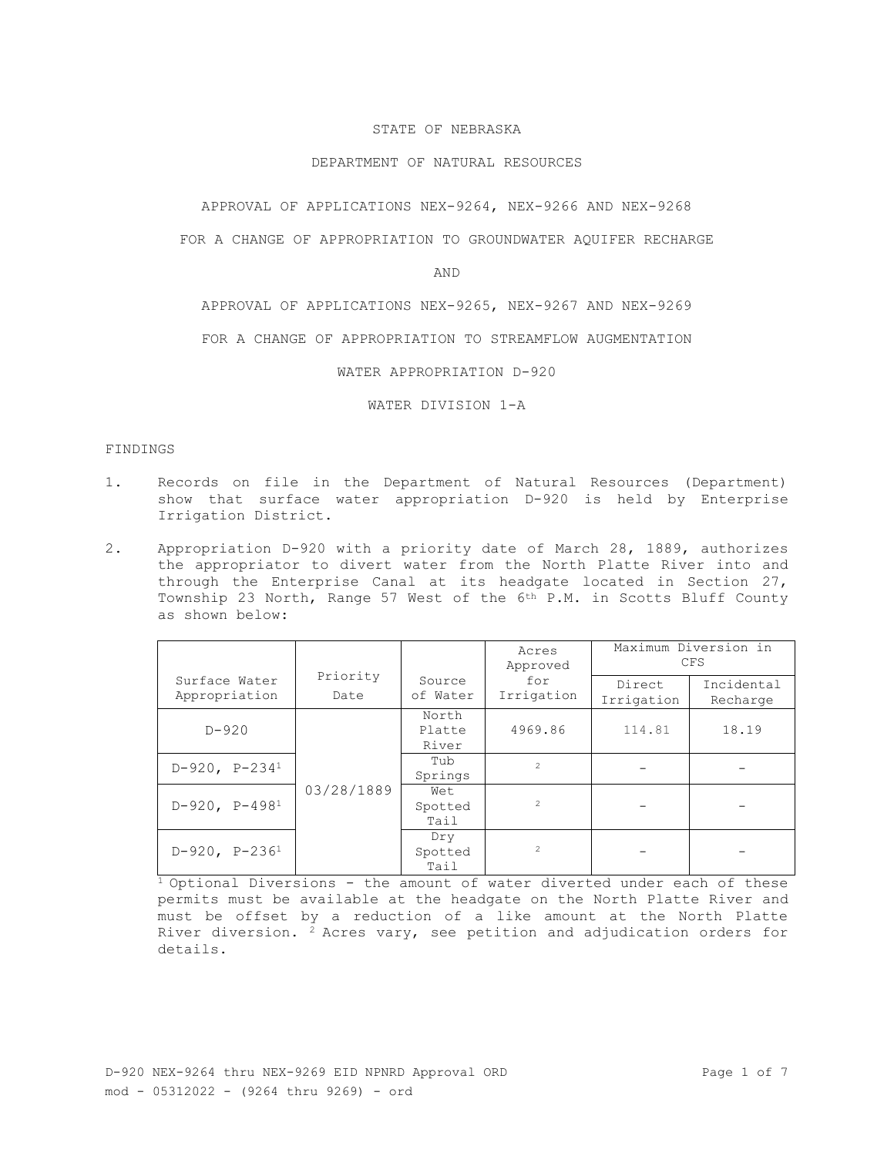## STATE OF NEBRASKA

### DEPARTMENT OF NATURAL RESOURCES

APPROVAL OF APPLICATIONS NEX-9264, NEX-9266 AND NEX-9268

FOR A CHANGE OF APPROPRIATION TO GROUNDWATER AQUIFER RECHARGE

AND

APPROVAL OF APPLICATIONS NEX-9265, NEX-9267 AND NEX-9269

FOR A CHANGE OF APPROPRIATION TO STREAMFLOW AUGMENTATION

WATER APPROPRIATION D-920

WATER DIVISION 1-A

#### FINDINGS

- 1. Records on file in the Department of Natural Resources (Department) show that surface water appropriation D-920 is held by Enterprise Irrigation District.
- 2. Appropriation D-920 with a priority date of March 28, 1889, authorizes the appropriator to divert water from the North Platte River into and through the Enterprise Canal at its headgate located in Section 27, Township 23 North, Range 57 West of the 6th P.M. in Scotts Bluff County as shown below:

|                                |                  | Source<br>of Water       | Acres<br>Approved<br>for<br>Irrigation | Maximum Diversion in<br><b>CFS</b> |                        |
|--------------------------------|------------------|--------------------------|----------------------------------------|------------------------------------|------------------------|
| Surface Water<br>Appropriation | Priority<br>Date |                          |                                        | Direct<br>Irrigation               | Incidental<br>Recharge |
| $D - 920$                      | 03/28/1889       | North<br>Platte<br>River | 4969.86                                | 114.81                             | 18.19                  |
| $D-920$ , $P-234^1$            |                  | Tub<br>Springs           | $\mathfrak{D}$                         |                                    |                        |
| $D-920$ , $P-4981$             |                  | Wet<br>Spotted<br>Tail   | $\mathfrak{D}$                         |                                    |                        |
| $D-920$ , $P-236^1$            |                  | Dry<br>Spotted<br>Tail   | $\overline{2}$                         |                                    |                        |

 $\frac{1}{1}$  Optional Diversions - the amount of water diverted under each of these permits must be available at the headgate on the North Platte River and must be offset by a reduction of a like amount at the North Platte River diversion.  $2$  Acres vary, see petition and adjudication orders for details.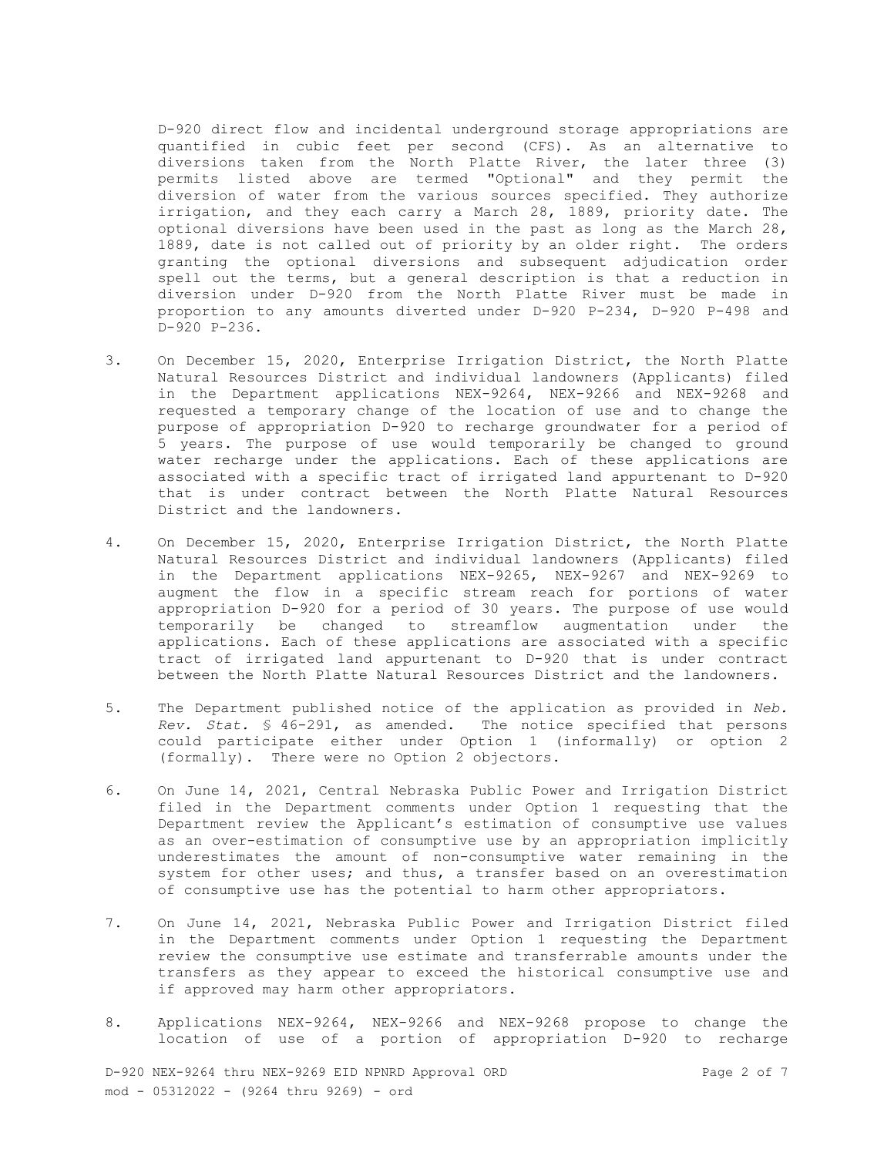D-920 direct flow and incidental underground storage appropriations are quantified in cubic feet per second (CFS). As an alternative to diversions taken from the North Platte River, the later three (3) permits listed above are termed "Optional" and they permit the diversion of water from the various sources specified. They authorize irrigation, and they each carry a March 28, 1889, priority date. The optional diversions have been used in the past as long as the March 28, 1889, date is not called out of priority by an older right. The orders granting the optional diversions and subsequent adjudication order spell out the terms, but a general description is that a reduction in diversion under D-920 from the North Platte River must be made in proportion to any amounts diverted under D-920 P-234, D-920 P-498 and D-920 P-236.

- 3. On December 15, 2020, Enterprise Irrigation District, the North Platte Natural Resources District and individual landowners (Applicants) filed in the Department applications NEX-9264, NEX-9266 and NEX-9268 and requested a temporary change of the location of use and to change the purpose of appropriation D-920 to recharge groundwater for a period of 5 years. The purpose of use would temporarily be changed to ground water recharge under the applications. Each of these applications are associated with a specific tract of irrigated land appurtenant to D-920 that is under contract between the North Platte Natural Resources District and the landowners.
- 4. On December 15, 2020, Enterprise Irrigation District, the North Platte Natural Resources District and individual landowners (Applicants) filed in the Department applications NEX-9265, NEX-9267 and NEX-9269 to augment the flow in a specific stream reach for portions of water appropriation D-920 for a period of 30 years. The purpose of use would temporarily be changed to streamflow augmentation under the applications. Each of these applications are associated with a specific tract of irrigated land appurtenant to D-920 that is under contract between the North Platte Natural Resources District and the landowners.
- 5. The Department published notice of the application as provided in *Neb. Rev. Stat.* § 46-291, as amended. The notice specified that persons could participate either under Option 1 (informally) or option 2 (formally). There were no Option 2 objectors.
- 6. On June 14, 2021, Central Nebraska Public Power and Irrigation District filed in the Department comments under Option 1 requesting that the Department review the Applicant's estimation of consumptive use values as an over-estimation of consumptive use by an appropriation implicitly underestimates the amount of non-consumptive water remaining in the system for other uses; and thus, a transfer based on an overestimation of consumptive use has the potential to harm other appropriators.
- 7. On June 14, 2021, Nebraska Public Power and Irrigation District filed in the Department comments under Option 1 requesting the Department review the consumptive use estimate and transferrable amounts under the transfers as they appear to exceed the historical consumptive use and if approved may harm other appropriators.
- 8. Applications NEX-9264, NEX-9266 and NEX-9268 propose to change the location of use of a portion of appropriation D-920 to recharge

D-920 NEX-9264 thru NEX-9269 EID NPNRD Approval ORD Page 2 of 7 mod - 05312022 - (9264 thru 9269) - ord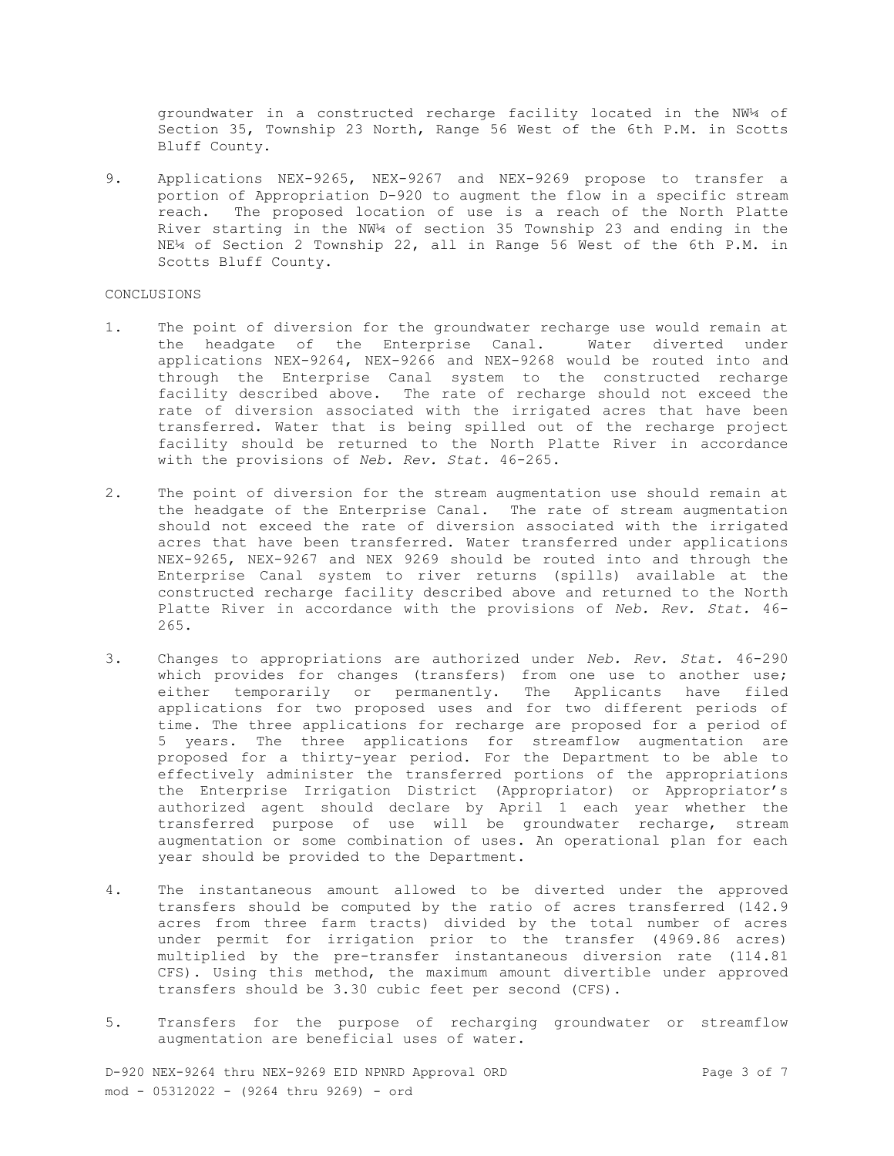groundwater in a constructed recharge facility located in the NW¼ of Section 35, Township 23 North, Range 56 West of the 6th P.M. in Scotts Bluff County.

9. Applications NEX-9265, NEX-9267 and NEX-9269 propose to transfer a portion of Appropriation D-920 to augment the flow in a specific stream reach. The proposed location of use is a reach of the North Platte River starting in the NW¼ of section 35 Township 23 and ending in the NE¼ of Section 2 Township 22, all in Range 56 West of the 6th P.M. in Scotts Bluff County.

#### CONCLUSIONS

- 1. The point of diversion for the groundwater recharge use would remain at the headgate of the Enterprise Canal. Water diverted under applications NEX-9264, NEX-9266 and NEX-9268 would be routed into and through the Enterprise Canal system to the constructed recharge facility described above. The rate of recharge should not exceed the rate of diversion associated with the irrigated acres that have been transferred. Water that is being spilled out of the recharge project facility should be returned to the North Platte River in accordance with the provisions of *Neb. Rev. Stat.* 46-265.
- 2. The point of diversion for the stream augmentation use should remain at the headgate of the Enterprise Canal. The rate of stream augmentation should not exceed the rate of diversion associated with the irrigated acres that have been transferred. Water transferred under applications NEX-9265, NEX-9267 and NEX 9269 should be routed into and through the Enterprise Canal system to river returns (spills) available at the constructed recharge facility described above and returned to the North Platte River in accordance with the provisions of *Neb. Rev. Stat.* 46- 265.
- 3. Changes to appropriations are authorized under *Neb. Rev. Stat.* 46-290 which provides for changes (transfers) from one use to another use; either temporarily or permanently. The Applicants have filed applications for two proposed uses and for two different periods of time. The three applications for recharge are proposed for a period of 5 years. The three applications for streamflow augmentation are proposed for a thirty-year period. For the Department to be able to effectively administer the transferred portions of the appropriations the Enterprise Irrigation District (Appropriator) or Appropriator's authorized agent should declare by April 1 each year whether the transferred purpose of use will be groundwater recharge, stream augmentation or some combination of uses. An operational plan for each year should be provided to the Department.
- 4. The instantaneous amount allowed to be diverted under the approved transfers should be computed by the ratio of acres transferred (142.9 acres from three farm tracts) divided by the total number of acres under permit for irrigation prior to the transfer (4969.86 acres) multiplied by the pre-transfer instantaneous diversion rate (114.81 CFS). Using this method, the maximum amount divertible under approved transfers should be 3.30 cubic feet per second (CFS).
- 5. Transfers for the purpose of recharging groundwater or streamflow augmentation are beneficial uses of water.

D-920 NEX-9264 thru NEX-9269 EID NPNRD Approval ORD Page 3 of 7 mod - 05312022 - (9264 thru 9269) - ord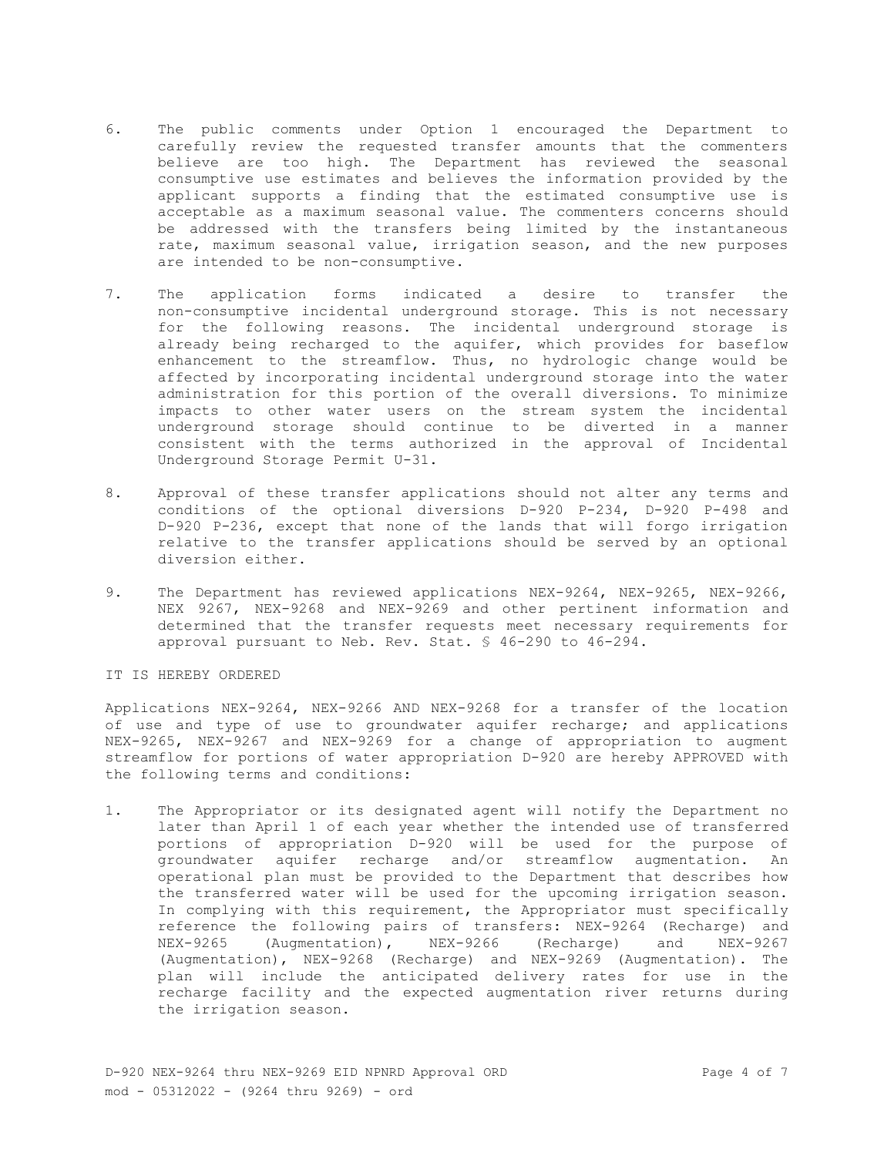- 6. The public comments under Option 1 encouraged the Department to carefully review the requested transfer amounts that the commenters believe are too high. The Department has reviewed the seasonal consumptive use estimates and believes the information provided by the applicant supports a finding that the estimated consumptive use is acceptable as a maximum seasonal value. The commenters concerns should be addressed with the transfers being limited by the instantaneous rate, maximum seasonal value, irrigation season, and the new purposes are intended to be non-consumptive.
- 7. The application forms indicated a desire to transfer the non-consumptive incidental underground storage. This is not necessary for the following reasons. The incidental underground storage is already being recharged to the aquifer, which provides for baseflow enhancement to the streamflow. Thus, no hydrologic change would be affected by incorporating incidental underground storage into the water administration for this portion of the overall diversions. To minimize impacts to other water users on the stream system the incidental underground storage should continue to be diverted in a manner consistent with the terms authorized in the approval of Incidental Underground Storage Permit U-31.
- 8. Approval of these transfer applications should not alter any terms and conditions of the optional diversions D-920 P-234, D-920 P-498 and D-920 P-236, except that none of the lands that will forgo irrigation relative to the transfer applications should be served by an optional diversion either.
- 9. The Department has reviewed applications NEX-9264, NEX-9265, NEX-9266, NEX 9267, NEX-9268 and NEX-9269 and other pertinent information and determined that the transfer requests meet necessary requirements for approval pursuant to Neb. Rev. Stat. § 46-290 to 46-294.

IT IS HEREBY ORDERED

Applications NEX-9264, NEX-9266 AND NEX-9268 for a transfer of the location of use and type of use to groundwater aquifer recharge; and applications NEX-9265, NEX-9267 and NEX-9269 for a change of appropriation to augment streamflow for portions of water appropriation D-920 are hereby APPROVED with the following terms and conditions:

1. The Appropriator or its designated agent will notify the Department no later than April 1 of each year whether the intended use of transferred portions of appropriation D-920 will be used for the purpose of groundwater aquifer recharge and/or streamflow augmentation. An operational plan must be provided to the Department that describes how the transferred water will be used for the upcoming irrigation season. In complying with this requirement, the Appropriator must specifically reference the following pairs of transfers: NEX-9264 (Recharge) and NEX-9265 (Augmentation), NEX-9266 (Recharge) and NEX-9267 (Augmentation), NEX-9268 (Recharge) and NEX-9269 (Augmentation). The plan will include the anticipated delivery rates for use in the recharge facility and the expected augmentation river returns during the irrigation season.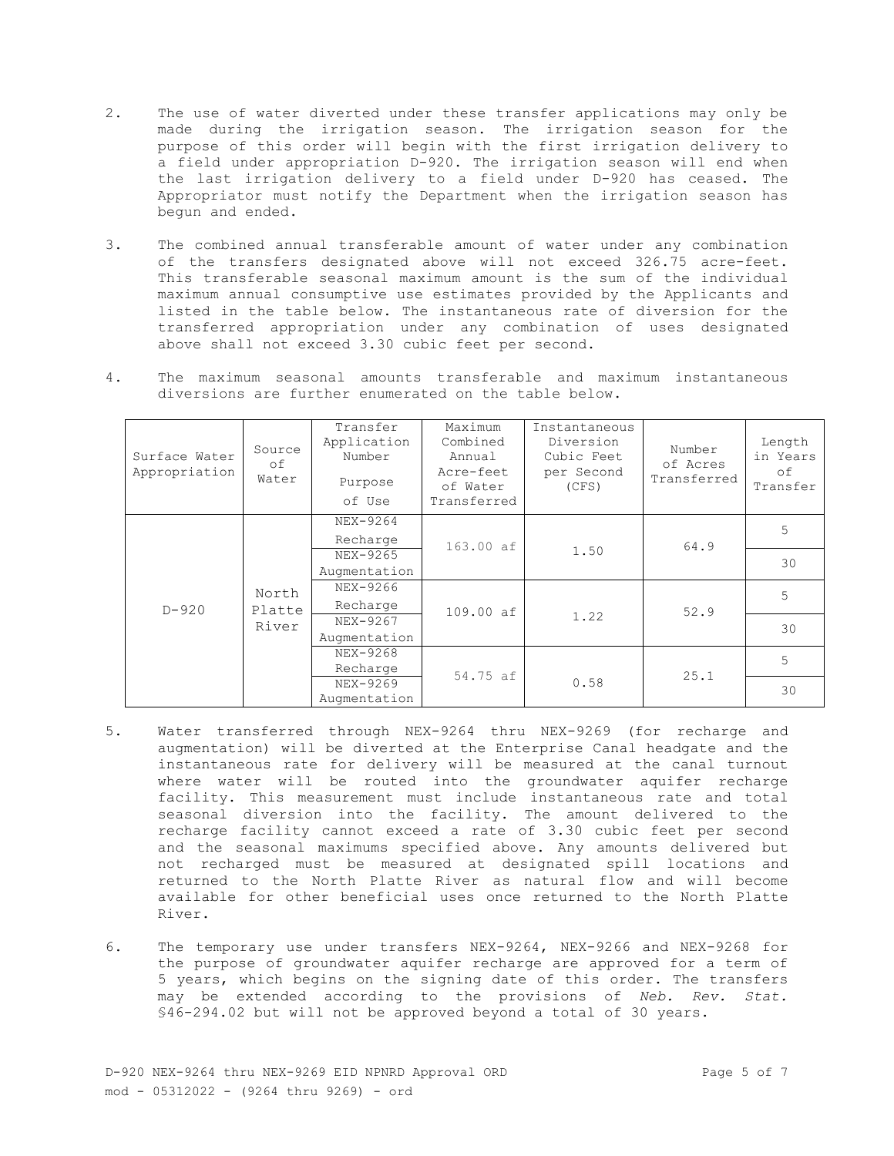- 2. The use of water diverted under these transfer applications may only be made during the irrigation season. The irrigation season for the purpose of this order will begin with the first irrigation delivery to a field under appropriation D-920. The irrigation season will end when the last irrigation delivery to a field under D-920 has ceased. The Appropriator must notify the Department when the irrigation season has begun and ended.
- 3. The combined annual transferable amount of water under any combination of the transfers designated above will not exceed 326.75 acre-feet. This transferable seasonal maximum amount is the sum of the individual maximum annual consumptive use estimates provided by the Applicants and listed in the table below. The instantaneous rate of diversion for the transferred appropriation under any combination of uses designated above shall not exceed 3.30 cubic feet per second.
- 4. The maximum seasonal amounts transferable and maximum instantaneous diversions are further enumerated on the table below.

| Surface Water<br>Appropriation | Source<br>οf<br>Water    | Transfer<br>Application<br>Number<br>Purpose<br>of Use | Maximum<br>Combined<br>Annual<br>Acre-feet<br>of Water<br>Transferred | Instantaneous<br>Diversion<br>Cubic Feet<br>per Second<br>(CFS) | Number<br>of Acres<br>Transferred | Length<br>in Years<br>оf<br>Transfer |
|--------------------------------|--------------------------|--------------------------------------------------------|-----------------------------------------------------------------------|-----------------------------------------------------------------|-----------------------------------|--------------------------------------|
| $D - 920$                      | North<br>Platte<br>River | NEX-9264<br>Recharge                                   | 163.00 af                                                             | 1.50                                                            | 64.9                              | 5                                    |
|                                |                          | NEX-9265<br>Augmentation                               |                                                                       |                                                                 |                                   | 30                                   |
|                                |                          | NEX-9266<br>Recharge                                   | 109.00 af                                                             | 1.22                                                            | 52.9                              | 5                                    |
|                                |                          | NEX-9267<br>Augmentation                               |                                                                       |                                                                 |                                   | 30                                   |
|                                |                          | NEX-9268<br>Recharge                                   | 54.75 af                                                              | 0.58                                                            | 25.1                              | 5                                    |
|                                |                          | NEX-9269<br>Augmentation                               |                                                                       |                                                                 |                                   | 30                                   |

- 5. Water transferred through NEX-9264 thru NEX-9269 (for recharge and augmentation) will be diverted at the Enterprise Canal headgate and the instantaneous rate for delivery will be measured at the canal turnout where water will be routed into the groundwater aquifer recharge facility. This measurement must include instantaneous rate and total seasonal diversion into the facility. The amount delivered to the recharge facility cannot exceed a rate of 3.30 cubic feet per second and the seasonal maximums specified above. Any amounts delivered but not recharged must be measured at designated spill locations and returned to the North Platte River as natural flow and will become available for other beneficial uses once returned to the North Platte River.
- 6. The temporary use under transfers NEX-9264, NEX-9266 and NEX-9268 for the purpose of groundwater aquifer recharge are approved for a term of 5 years, which begins on the signing date of this order. The transfers may be extended according to the provisions of *Neb. Rev. Stat.* §46-294.02 but will not be approved beyond a total of 30 years.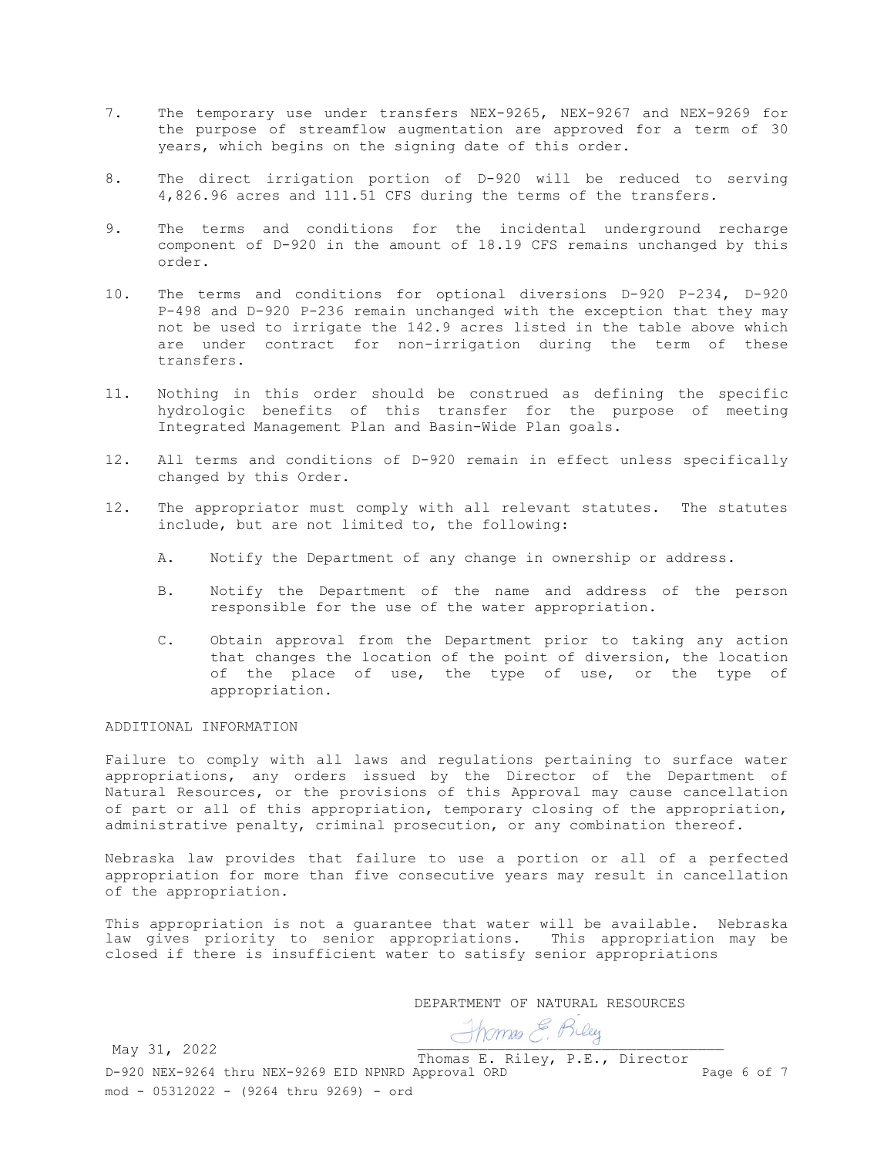- 7. The temporary use under transfers NEX-9265, NEX-9267 and NEX-9269 for the purpose of streamflow augmentation are approved for a term of 30 years, which begins on the signing date of this order.
- 8. The direct irrigation portion of D-920 will be reduced to serving 4,826.96 acres and 111.51 CFS during the terms of the transfers.
- 9. The terms and conditions for the incidental underground recharge component of D-920 in the amount of 18.19 CFS remains unchanged by this order.
- 10. The terms and conditions for optional diversions D-920 P-234, D-920 P-498 and D-920 P-236 remain unchanged with the exception that they may not be used to irrigate the 142.9 acres listed in the table above which are under contract for non-irrigation during the term of these transfers.
- 11. Nothing in this order should be construed as defining the specific hydrologic benefits of this transfer for the purpose of meeting Integrated Management Plan and Basin-Wide Plan goals.
- 12. All terms and conditions of D-920 remain in effect unless specifically changed by this Order.
- 12. The appropriator must comply with all relevant statutes. The statutes include, but are not limited to, the following:
	- A. Notify the Department of any change in ownership or address.
	- B. Notify the Department of the name and address of the person responsible for the use of the water appropriation.
	- C. Obtain approval from the Department prior to taking any action that changes the location of the point of diversion, the location of the place of use, the type of use, or the type of appropriation.

# ADDITIONAL INFORMATION

Failure to comply with all laws and regulations pertaining to surface water appropriations, any orders issued by the Director of the Department of Natural Resources, or the provisions of this Approval may cause cancellation of part or all of this appropriation, temporary closing of the appropriation, administrative penalty, criminal prosecution, or any combination thereof.

Nebraska law provides that failure to use a portion or all of a perfected appropriation for more than five consecutive years may result in cancellation of the appropriation.

This appropriation is not a guarantee that water will be available. Nebraska law gives priority to senior appropriations. This appropriation may be closed if there is insufficient water to satisfy senior appropriations

DEPARTMENT OF NATURAL RESOURCES

Thomas E. Riley

D-920 NEX-9264 thru NEX-9269 EID NPNRD Approval ORD Page 6 of 7 mod - 05312022 - (9264 thru 9269) - ord Thomas E. Riley, P.E., Director May 31, 2022